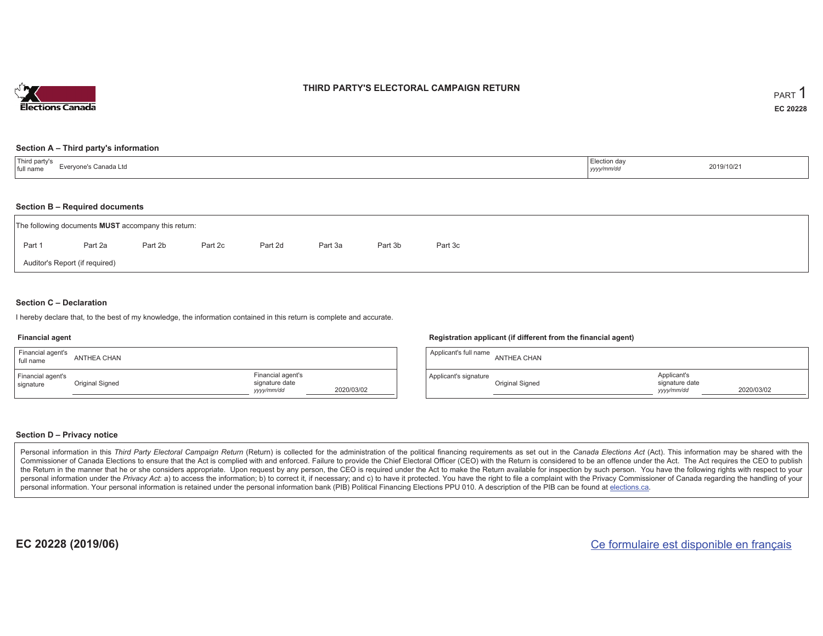

### **THIRD PARTY'S ELECTORAL CAMPAIGN RETURN**

#### **Section A – Third party's information**

| <sup>1</sup> Third party's<br>Evervone's Canada Ltd<br>full name | Election day<br>yyyy/mm/dr | 2019/10/21 |
|------------------------------------------------------------------|----------------------------|------------|
|------------------------------------------------------------------|----------------------------|------------|

#### **Section B – Required documents**

|                                | The following documents <b>MUST</b> accompany this return: |         |         |         |         |         |         |  |  |  |  |  |  |
|--------------------------------|------------------------------------------------------------|---------|---------|---------|---------|---------|---------|--|--|--|--|--|--|
| Part 1                         | Part 2a                                                    | Part 2b | Part 2c | Part 2d | Part 3a | Part 3b | Part 3c |  |  |  |  |  |  |
| Auditor's Report (if required) |                                                            |         |         |         |         |         |         |  |  |  |  |  |  |

### **Section C – Declaration**

I hereby declare that, to the best of my knowledge, the information contained in this return is complete and accurate.

#### **Financial agent**

| Financial agent's<br>full name | ANTHEA CHAN     |                                                   |            |
|--------------------------------|-----------------|---------------------------------------------------|------------|
| Financial agent's<br>signature | Original Signed | Financial agent's<br>signature date<br>yyyy/mm/dd | 2020/03/02 |

#### **Registration applicant (if different from the financial agent)**

| Applicant's full name | ANTHEA CHAN     |                                             |            |
|-----------------------|-----------------|---------------------------------------------|------------|
| Applicant's signature | Original Signed | Applicant's<br>signature date<br>yyyy/mm/dd | 2020/03/02 |

### **Section D – Privacy notice**

Personal information in this Third Party Electoral Campaign Return (Return) is collected for the administration of the political financing requirements as set out in the Canada Elections Act (Act). This information may be Commissioner of Canada Elections to ensure that the Act is complied with and enforced. Failure to provide the Chief Electoral Officer (CEO) with the Return is considered to be an offence under the Act. The Act requires the the Return in the manner that he or she considers appropriate. Upon request by any person, the CEO is required under the Act to make the Return available for inspection by such person. You have the following rights with re personal information under the Privacy Act: a) to access the information; b) to correct it, if necessary; and c) to have it protected. You have the right to file a complaint with the Privacy Commissioner of Canada regardin personal information. Your personal information is retained under the personal information bank (PIB) Political Financing Elections PPU 010. A description of the PIB can be found at elections.ca.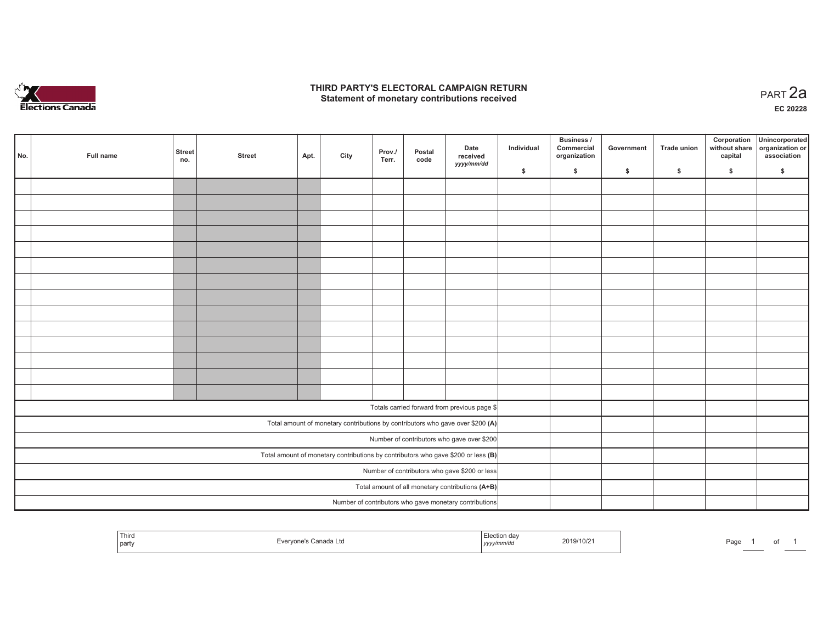

## **THIRD PARTY'S ELECTORAL CAMPAIGN RETURN HIRD PARTY'S ELECTORAL CAMPAIGN RETURN<br>Statement of monetary contributions received PART 2a**

**EC 20228**

| No. | Full name | <b>Street</b><br>no. | <b>Street</b> | Apt. | City | Prov./<br>Terr. | Postal<br>code | Date<br>received<br>yyyy/mm/dd                                                      | Individual | Business /<br>Commercial<br>organization | Government | Trade union | Corporation<br>without share<br>capital | Unincorporated<br>organization or<br>association |
|-----|-----------|----------------------|---------------|------|------|-----------------|----------------|-------------------------------------------------------------------------------------|------------|------------------------------------------|------------|-------------|-----------------------------------------|--------------------------------------------------|
|     |           |                      |               |      |      |                 |                |                                                                                     | \$         | \$                                       | \$         | \$          | \$                                      | \$                                               |
|     |           |                      |               |      |      |                 |                |                                                                                     |            |                                          |            |             |                                         |                                                  |
|     |           |                      |               |      |      |                 |                |                                                                                     |            |                                          |            |             |                                         |                                                  |
|     |           |                      |               |      |      |                 |                |                                                                                     |            |                                          |            |             |                                         |                                                  |
|     |           |                      |               |      |      |                 |                |                                                                                     |            |                                          |            |             |                                         |                                                  |
|     |           |                      |               |      |      |                 |                |                                                                                     |            |                                          |            |             |                                         |                                                  |
|     |           |                      |               |      |      |                 |                |                                                                                     |            |                                          |            |             |                                         |                                                  |
|     |           |                      |               |      |      |                 |                |                                                                                     |            |                                          |            |             |                                         |                                                  |
|     |           |                      |               |      |      |                 |                |                                                                                     |            |                                          |            |             |                                         |                                                  |
|     |           |                      |               |      |      |                 |                |                                                                                     |            |                                          |            |             |                                         |                                                  |
|     |           |                      |               |      |      |                 |                |                                                                                     |            |                                          |            |             |                                         |                                                  |
|     |           |                      |               |      |      |                 |                |                                                                                     |            |                                          |            |             |                                         |                                                  |
|     |           |                      |               |      |      |                 |                |                                                                                     |            |                                          |            |             |                                         |                                                  |
|     |           |                      |               |      |      |                 |                |                                                                                     |            |                                          |            |             |                                         |                                                  |
|     |           |                      |               |      |      |                 |                |                                                                                     |            |                                          |            |             |                                         |                                                  |
|     |           |                      |               |      |      |                 |                | Totals carried forward from previous page \$                                        |            |                                          |            |             |                                         |                                                  |
|     |           |                      |               |      |      |                 |                | Total amount of monetary contributions by contributors who gave over \$200 (A)      |            |                                          |            |             |                                         |                                                  |
|     |           |                      |               |      |      |                 |                | Number of contributors who gave over \$200                                          |            |                                          |            |             |                                         |                                                  |
|     |           |                      |               |      |      |                 |                | Total amount of monetary contributions by contributors who gave \$200 or less $(B)$ |            |                                          |            |             |                                         |                                                  |
|     |           |                      |               |      |      |                 |                | Number of contributors who gave \$200 or less                                       |            |                                          |            |             |                                         |                                                  |
|     |           |                      |               |      |      |                 |                | Total amount of all monetary contributions (A+B)                                    |            |                                          |            |             |                                         |                                                  |
|     |           |                      |               |      |      |                 |                | Number of contributors who gave monetary contributions                              |            |                                          |            |             |                                         |                                                  |

| Third<br>Canada Ltd<br>party | ection da:<br>ᄃ៲៱៱<br>2019/10/21<br>.<br>yyyy/mm/dd | Page<br>______ |
|------------------------------|-----------------------------------------------------|----------------|
|------------------------------|-----------------------------------------------------|----------------|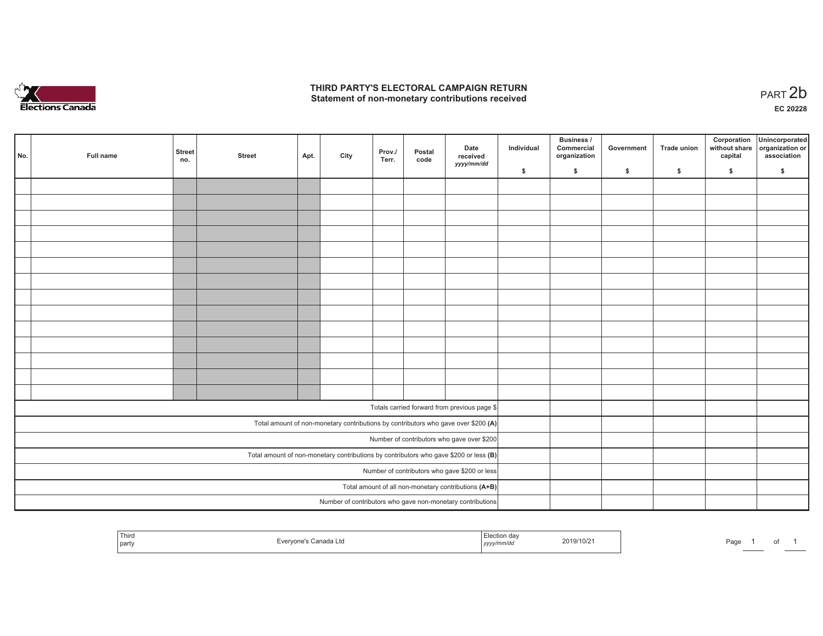

## **THIRD PARTY'S ELECTORAL CAMPAIGN RETURN**  THIRD PARTY'S ELECTORAL CAMPAIGN RETURN<br>Statement of non-monetary contributions received<br> **PART 2b**

| No. | Full name | <b>Street</b><br>no. | <b>Street</b> | Apt. | City | Prov./<br>Terr. | Postal<br>code | Date<br>received<br>yyyy/mm/dd                                                          | Individual | <b>Business /</b><br>Commercial<br>organization | Government   | Trade union  | Corporation<br>capital | Unincorporated<br>without share organization or<br>association |
|-----|-----------|----------------------|---------------|------|------|-----------------|----------------|-----------------------------------------------------------------------------------------|------------|-------------------------------------------------|--------------|--------------|------------------------|----------------------------------------------------------------|
|     |           |                      |               |      |      |                 |                |                                                                                         | \$         | \$                                              | $\mathsf{s}$ | $\mathbf{s}$ | \$                     | \$                                                             |
|     |           |                      |               |      |      |                 |                |                                                                                         |            |                                                 |              |              |                        |                                                                |
|     |           |                      |               |      |      |                 |                |                                                                                         |            |                                                 |              |              |                        |                                                                |
|     |           |                      |               |      |      |                 |                |                                                                                         |            |                                                 |              |              |                        |                                                                |
|     |           |                      |               |      |      |                 |                |                                                                                         |            |                                                 |              |              |                        |                                                                |
|     |           |                      |               |      |      |                 |                |                                                                                         |            |                                                 |              |              |                        |                                                                |
|     |           |                      |               |      |      |                 |                |                                                                                         |            |                                                 |              |              |                        |                                                                |
|     |           |                      |               |      |      |                 |                |                                                                                         |            |                                                 |              |              |                        |                                                                |
|     |           |                      |               |      |      |                 |                |                                                                                         |            |                                                 |              |              |                        |                                                                |
|     |           |                      |               |      |      |                 |                |                                                                                         |            |                                                 |              |              |                        |                                                                |
|     |           |                      |               |      |      |                 |                |                                                                                         |            |                                                 |              |              |                        |                                                                |
|     |           |                      |               |      |      |                 |                |                                                                                         |            |                                                 |              |              |                        |                                                                |
|     |           |                      |               |      |      |                 |                |                                                                                         |            |                                                 |              |              |                        |                                                                |
|     |           |                      |               |      |      |                 |                |                                                                                         |            |                                                 |              |              |                        |                                                                |
|     |           |                      |               |      |      |                 |                |                                                                                         |            |                                                 |              |              |                        |                                                                |
|     |           |                      |               |      |      |                 |                | Totals carried forward from previous page \$                                            |            |                                                 |              |              |                        |                                                                |
|     |           |                      |               |      |      |                 |                |                                                                                         |            |                                                 |              |              |                        |                                                                |
|     |           |                      |               |      |      |                 |                | Total amount of non-monetary contributions by contributors who gave over \$200 (A)      |            |                                                 |              |              |                        |                                                                |
|     |           |                      |               |      |      |                 |                | Number of contributors who gave over \$200                                              |            |                                                 |              |              |                        |                                                                |
|     |           |                      |               |      |      |                 |                | Total amount of non-monetary contributions by contributors who gave \$200 or less $(B)$ |            |                                                 |              |              |                        |                                                                |
|     |           |                      |               |      |      |                 |                | Number of contributors who gave \$200 or less                                           |            |                                                 |              |              |                        |                                                                |
|     |           |                      |               |      |      |                 |                | Total amount of all non-monetary contributions (A+B)                                    |            |                                                 |              |              |                        |                                                                |
|     |           |                      |               |      |      |                 |                | Number of contributors who gave non-monetary contributions                              |            |                                                 |              |              |                        |                                                                |

| Third<br><b>Contract Contract Contract</b><br>  party | ∃vervone's Canada Ltd | ------<br>ı dav<br>2019/10/2<br>yyyy/mm/aa | $-$<br>Page |
|-------------------------------------------------------|-----------------------|--------------------------------------------|-------------|
|-------------------------------------------------------|-----------------------|--------------------------------------------|-------------|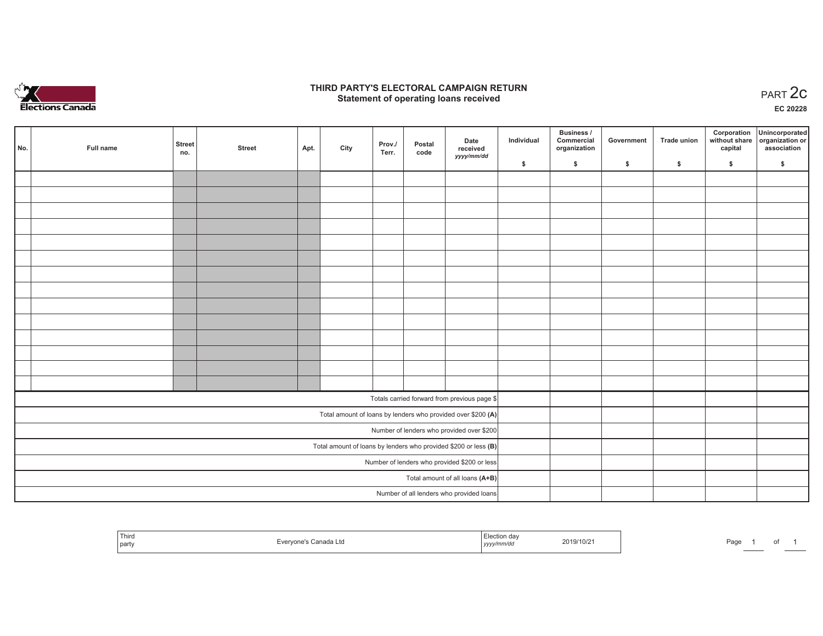

## **THIRD PARTY'S ELECTORAL CAMPAIGN RETURN STATE:** PERSON SELECTORAL CAMPAIGN RETURN<br>
Statement of operating loans received

**EC 20228**

| No. | Full name | <b>Street</b><br>no. | <b>Street</b> | Apt. | City | Prov./<br>Terr. | Postal<br>code | Date<br>received                                                | Individual | Business /<br>Commercial<br>organization | Government | Trade union | Corporation<br>capital | Unincorporated<br>without share organization or<br>association |
|-----|-----------|----------------------|---------------|------|------|-----------------|----------------|-----------------------------------------------------------------|------------|------------------------------------------|------------|-------------|------------------------|----------------------------------------------------------------|
|     |           |                      |               |      |      |                 |                | yyyy/mm/dd                                                      | \$         | \$                                       | \$         | \$          | \$                     | \$                                                             |
|     |           |                      |               |      |      |                 |                |                                                                 |            |                                          |            |             |                        |                                                                |
|     |           |                      |               |      |      |                 |                |                                                                 |            |                                          |            |             |                        |                                                                |
|     |           |                      |               |      |      |                 |                |                                                                 |            |                                          |            |             |                        |                                                                |
|     |           |                      |               |      |      |                 |                |                                                                 |            |                                          |            |             |                        |                                                                |
|     |           |                      |               |      |      |                 |                |                                                                 |            |                                          |            |             |                        |                                                                |
|     |           |                      |               |      |      |                 |                |                                                                 |            |                                          |            |             |                        |                                                                |
|     |           |                      |               |      |      |                 |                |                                                                 |            |                                          |            |             |                        |                                                                |
|     |           |                      |               |      |      |                 |                |                                                                 |            |                                          |            |             |                        |                                                                |
|     |           |                      |               |      |      |                 |                |                                                                 |            |                                          |            |             |                        |                                                                |
|     |           |                      |               |      |      |                 |                |                                                                 |            |                                          |            |             |                        |                                                                |
|     |           |                      |               |      |      |                 |                |                                                                 |            |                                          |            |             |                        |                                                                |
|     |           |                      |               |      |      |                 |                |                                                                 |            |                                          |            |             |                        |                                                                |
|     |           |                      |               |      |      |                 |                |                                                                 |            |                                          |            |             |                        |                                                                |
|     |           |                      |               |      |      |                 |                |                                                                 |            |                                          |            |             |                        |                                                                |
|     |           |                      |               |      |      |                 |                | Totals carried forward from previous page \$                    |            |                                          |            |             |                        |                                                                |
|     |           |                      |               |      |      |                 |                | Total amount of loans by lenders who provided over \$200 (A)    |            |                                          |            |             |                        |                                                                |
|     |           |                      |               |      |      |                 |                | Number of lenders who provided over \$200                       |            |                                          |            |             |                        |                                                                |
|     |           |                      |               |      |      |                 |                | Total amount of loans by lenders who provided \$200 or less (B) |            |                                          |            |             |                        |                                                                |
|     |           |                      |               |      |      |                 |                | Number of lenders who provided \$200 or less                    |            |                                          |            |             |                        |                                                                |
|     |           |                      |               |      |      |                 |                | Total amount of all loans (A+B)                                 |            |                                          |            |             |                        |                                                                |
|     |           |                      |               |      |      |                 |                | Number of all lenders who provided loans                        |            |                                          |            |             |                        |                                                                |

| ' Third<br><b>STATISTICS</b><br>l partv | Evervone's Canada Ltd | ≞lection dav<br>yyyy/mm/da | 2019/10/2 | Page |  |
|-----------------------------------------|-----------------------|----------------------------|-----------|------|--|
|-----------------------------------------|-----------------------|----------------------------|-----------|------|--|

of 1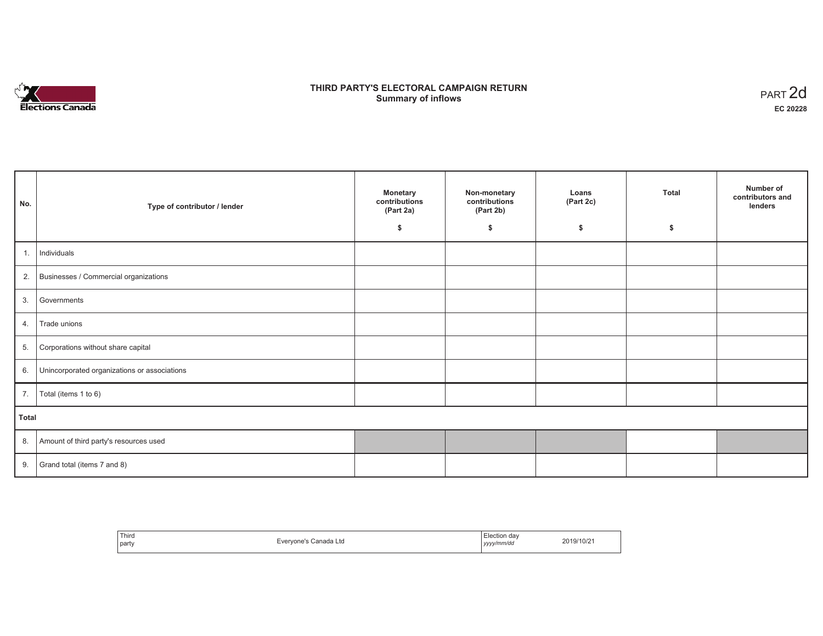

## **THIRD PARTY'S ELECTORAL CAMPAIGN RETURN S** ELECTORAL CAMPAIGN RETURN<br>Summary of inflows PART 2d

| No.   | Type of contributor / lender                    | <b>Monetary</b><br>contributions<br>(Part 2a) | Non-monetary<br>contributions<br>(Part 2b) | Loans<br>(Part 2c) | <b>Total</b> | Number of<br>contributors and<br>lenders |  |  |
|-------|-------------------------------------------------|-----------------------------------------------|--------------------------------------------|--------------------|--------------|------------------------------------------|--|--|
|       |                                                 | \$                                            | \$                                         | \$                 | \$           |                                          |  |  |
| 1.    | Individuals                                     |                                               |                                            |                    |              |                                          |  |  |
|       | 2. Businesses / Commercial organizations        |                                               |                                            |                    |              |                                          |  |  |
| 3.    | Governments                                     |                                               |                                            |                    |              |                                          |  |  |
| 4.    | Trade unions                                    |                                               |                                            |                    |              |                                          |  |  |
| 5.    | Corporations without share capital              |                                               |                                            |                    |              |                                          |  |  |
|       | 6. Unincorporated organizations or associations |                                               |                                            |                    |              |                                          |  |  |
| 7.    | Total (items 1 to 6)                            |                                               |                                            |                    |              |                                          |  |  |
| Total |                                                 |                                               |                                            |                    |              |                                          |  |  |
|       | 8. Amount of third party's resources used       |                                               |                                            |                    |              |                                          |  |  |
|       | 9. Grand total (items $7$ and $8$ )             |                                               |                                            |                    |              |                                          |  |  |

| Third<br>party | Evervone's Canada Ltd | Election day<br>yyyy/mm/dd | 2019/10/21 |
|----------------|-----------------------|----------------------------|------------|
|----------------|-----------------------|----------------------------|------------|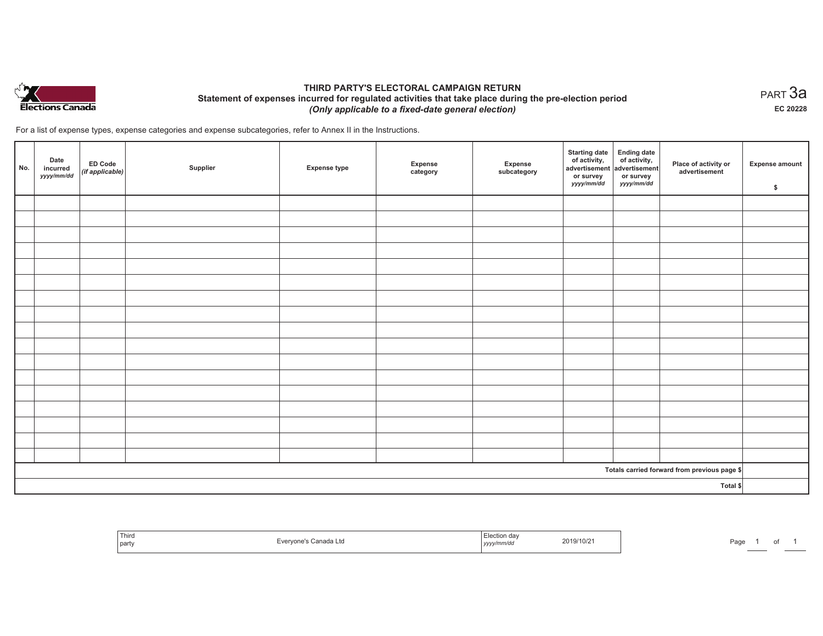

## **THIRD PARTY'S ELECTORAL CAMPAIGN RETURN Statement of expenses incurred for regulated activities that take place during the pre-election period**  *(Only applicable to a fixed-date general election)*

For a list of expense types, expense categories and expense subcategories, refer to Annex II in the Instructions.

| No. | Date<br>incurred<br>yyyy/mm/dd | <b>ED Code</b><br>$($ if applicable $)$ | Supplier | <b>Expense type</b> | Expense<br>category | Expense<br>subcategory | <b>Starting date</b><br>of activity,<br>advertisement<br>or survey<br>yyyy/mm/dd | Ending date<br>of activity,<br>advertisement<br>or survey<br>yyyy/mm/dd | Place of activity or<br>advertisement        | Expense amount<br>\$ |
|-----|--------------------------------|-----------------------------------------|----------|---------------------|---------------------|------------------------|----------------------------------------------------------------------------------|-------------------------------------------------------------------------|----------------------------------------------|----------------------|
|     |                                |                                         |          |                     |                     |                        |                                                                                  |                                                                         |                                              |                      |
|     |                                |                                         |          |                     |                     |                        |                                                                                  |                                                                         |                                              |                      |
|     |                                |                                         |          |                     |                     |                        |                                                                                  |                                                                         |                                              |                      |
|     |                                |                                         |          |                     |                     |                        |                                                                                  |                                                                         |                                              |                      |
|     |                                |                                         |          |                     |                     |                        |                                                                                  |                                                                         |                                              |                      |
|     |                                |                                         |          |                     |                     |                        |                                                                                  |                                                                         |                                              |                      |
|     |                                |                                         |          |                     |                     |                        |                                                                                  |                                                                         |                                              |                      |
|     |                                |                                         |          |                     |                     |                        |                                                                                  |                                                                         |                                              |                      |
|     |                                |                                         |          |                     |                     |                        |                                                                                  |                                                                         |                                              |                      |
|     |                                |                                         |          |                     |                     |                        |                                                                                  |                                                                         |                                              |                      |
|     |                                |                                         |          |                     |                     |                        |                                                                                  |                                                                         |                                              |                      |
|     |                                |                                         |          |                     |                     |                        |                                                                                  |                                                                         |                                              |                      |
|     |                                |                                         |          |                     |                     |                        |                                                                                  |                                                                         |                                              |                      |
|     |                                |                                         |          |                     |                     |                        |                                                                                  |                                                                         |                                              |                      |
|     |                                |                                         |          |                     |                     |                        |                                                                                  |                                                                         |                                              |                      |
|     |                                |                                         |          |                     |                     |                        |                                                                                  |                                                                         |                                              |                      |
|     |                                |                                         |          |                     |                     |                        |                                                                                  |                                                                         |                                              |                      |
|     |                                |                                         |          |                     |                     |                        |                                                                                  |                                                                         | Totals carried forward from previous page \$ |                      |
|     |                                |                                         |          |                     |                     |                        |                                                                                  |                                                                         | Total \$                                     |                      |

| Third<br>  party | Evervone's Canada Ltd | $-$<br>Election day<br>2019/10/2<br>.<br>yyyy/mm/dd | Page |
|------------------|-----------------------|-----------------------------------------------------|------|
|------------------|-----------------------|-----------------------------------------------------|------|

 $_{\sf PART}$ 3a **EC 20228**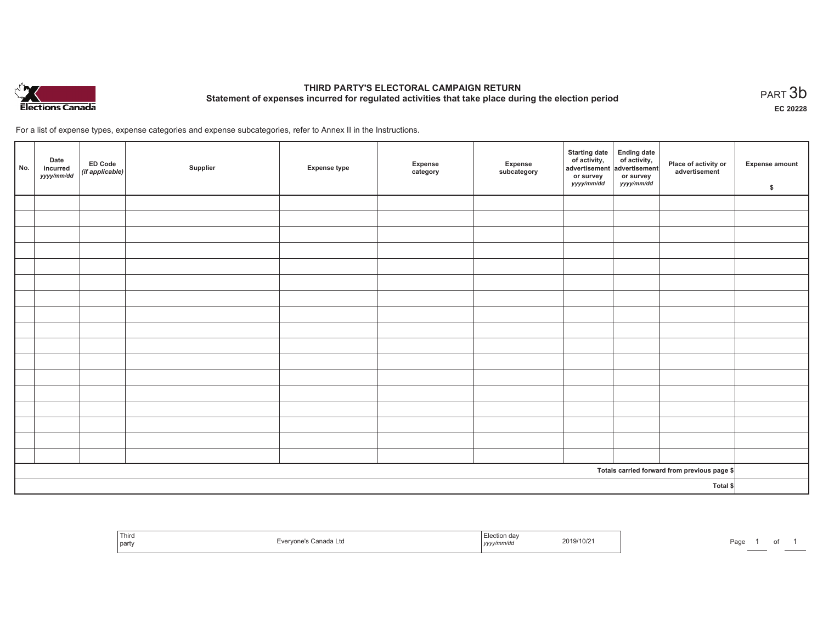

# **THIRD PARTY'S ELECTORAL CAMPAIGN RETURN Statement of expenses incurred for regulated activities that take place during the election period**<br>PART  $3\mathsf{b}$

**EC 20228**

of 1

For a list of expense types, expense categories and expense subcategories, refer to Annex II in the Instructions.

| No.      | Date<br>incurred<br>yyyy/mm/dd | ED Code<br>(if applicable) | Supplier | <b>Expense type</b> | Expense<br>category | Expense<br>subcategory | Starting date Ending date<br>of activity, of activity,<br>advertisement advertisement<br>or survey<br>yyyy/mm/dd | or survey<br><i>yyyy/mm/dd</i> | Place of activity or<br>advertisement        | <b>Expense amount</b><br>\$ |
|----------|--------------------------------|----------------------------|----------|---------------------|---------------------|------------------------|------------------------------------------------------------------------------------------------------------------|--------------------------------|----------------------------------------------|-----------------------------|
|          |                                |                            |          |                     |                     |                        |                                                                                                                  |                                |                                              |                             |
|          |                                |                            |          |                     |                     |                        |                                                                                                                  |                                |                                              |                             |
|          |                                |                            |          |                     |                     |                        |                                                                                                                  |                                |                                              |                             |
|          |                                |                            |          |                     |                     |                        |                                                                                                                  |                                |                                              |                             |
|          |                                |                            |          |                     |                     |                        |                                                                                                                  |                                |                                              |                             |
|          |                                |                            |          |                     |                     |                        |                                                                                                                  |                                |                                              |                             |
|          |                                |                            |          |                     |                     |                        |                                                                                                                  |                                |                                              |                             |
|          |                                |                            |          |                     |                     |                        |                                                                                                                  |                                |                                              |                             |
|          |                                |                            |          |                     |                     |                        |                                                                                                                  |                                |                                              |                             |
|          |                                |                            |          |                     |                     |                        |                                                                                                                  |                                |                                              |                             |
|          |                                |                            |          |                     |                     |                        |                                                                                                                  |                                |                                              |                             |
|          |                                |                            |          |                     |                     |                        |                                                                                                                  |                                |                                              |                             |
|          |                                |                            |          |                     |                     |                        |                                                                                                                  |                                |                                              |                             |
|          |                                |                            |          |                     |                     |                        |                                                                                                                  |                                |                                              |                             |
|          |                                |                            |          |                     |                     |                        |                                                                                                                  |                                |                                              |                             |
|          |                                |                            |          |                     |                     |                        |                                                                                                                  |                                |                                              |                             |
|          |                                |                            |          |                     |                     |                        |                                                                                                                  |                                |                                              |                             |
|          |                                |                            |          |                     |                     |                        |                                                                                                                  |                                | Totals carried forward from previous page \$ |                             |
| Total \$ |                                |                            |          |                     |                     |                        |                                                                                                                  |                                |                                              |                             |

| Third<br>party |  | ua<br>m/a<br>,,,, | 2019/10/2 | Pagu | __ |
|----------------|--|-------------------|-----------|------|----|
|----------------|--|-------------------|-----------|------|----|